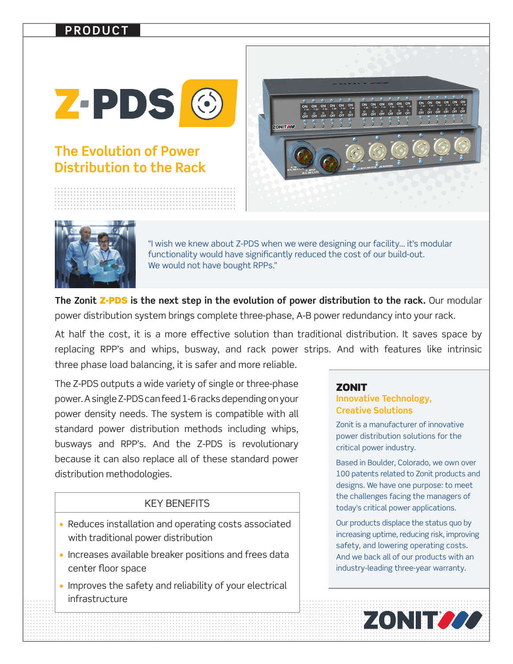## **PRODUCT**



# **The Evolution of Power Distribution to the Rack**





"I wish we knew about Z-PDS when we were designing our facility… it's modular functionality would have significantly reduced the cost of our build-out. We would not have bought RPPs."

**The Zonit** Z-PDS **is the next step in the evolution of power distribution to the rack.** Our modular power distribution system brings complete three-phase, A-B power redundancy into your rack.

At half the cost, it is a more effective solution than traditional distribution. It saves space by replacing RPP's and whips, busway, and rack power strips. And with features like intrinsic three phase load balancing, it is safer and more reliable.

The Z-PDS outputs a wide variety of single or three-phase power. A single Z-PDS can feed 1-6 racks depending on your power density needs. The system is compatible with all standard power distribution methods including whips, busways and RPP's. And the Z-PDS is revolutionary because it can also replace all of these standard power distribution methodologies.

#### KEY BENEFITS

- Reduces installation and operating costs associated with traditional power distribution
- Increases available breaker positions and frees data center floor space
- Improves the safety and reliability of your electrical infrastructure

### **ZONIT**

### **Innovative Technology, Creative Solutions**

Zonit is a manufacturer of innovative power distribution solutions for the critical power industry.

Based in Boulder, Colorado, we own over 100 patents related to Zonit products and designs. We have one purpose: to meet the challenges facing the managers of today's critical power applications.

Our products displace the status quo by increasing uptime, reducing risk, improving safety, and lowering operating costs. And we back all of our products with an industry-leading three-year warranty.